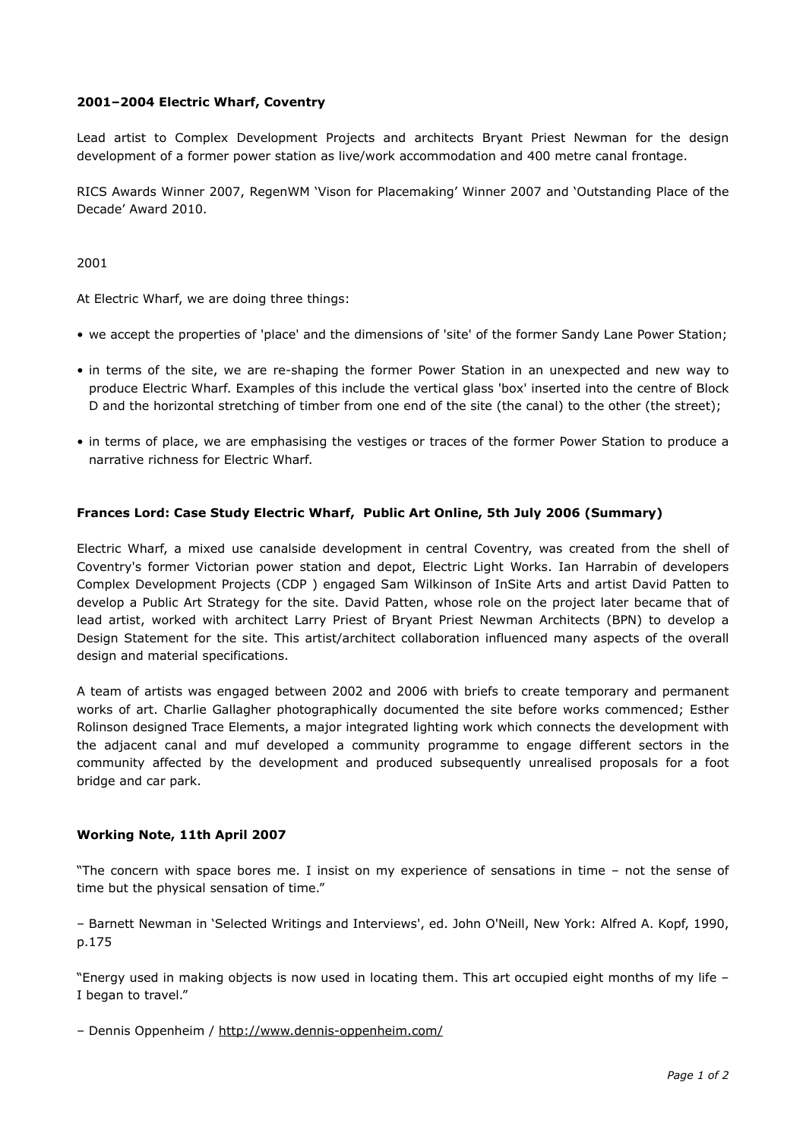# **2001–2004 Electric Wharf, Coventry**

Lead artist to Complex Development Projects and architects Bryant Priest Newman for the design development of a former power station as live/work accommodation and 400 metre canal frontage.

RICS Awards Winner 2007, RegenWM 'Vison for Placemaking' Winner 2007 and 'Outstanding Place of the Decade' Award 2010.

2001

At Electric Wharf, we are doing three things:

- we accept the properties of 'place' and the dimensions of 'site' of the former Sandy Lane Power Station;
- in terms of the site, we are re-shaping the former Power Station in an unexpected and new way to produce Electric Wharf. Examples of this include the vertical glass 'box' inserted into the centre of Block D and the horizontal stretching of timber from one end of the site (the canal) to the other (the street);
- in terms of place, we are emphasising the vestiges or traces of the former Power Station to produce a narrative richness for Electric Wharf.

# **Frances Lord: Case Study Electric Wharf, Public Art Online, 5th July 2006 (Summary)**

Electric Wharf, a mixed use canalside development in central Coventry, was created from the shell of Coventry's former Victorian power station and depot, Electric Light Works. Ian Harrabin of developers Complex Development Projects (CDP ) engaged Sam Wilkinson of InSite Arts and artist David Patten to develop a Public Art Strategy for the site. David Patten, whose role on the project later became that of lead artist, worked with architect Larry Priest of Bryant Priest Newman Architects (BPN) to develop a Design Statement for the site. This artist/architect collaboration influenced many aspects of the overall design and material specifications.

A team of artists was engaged between 2002 and 2006 with briefs to create temporary and permanent works of art. Charlie Gallagher photographically documented the site before works commenced; Esther Rolinson designed Trace Elements, a major integrated lighting work which connects the development with the adjacent canal and muf developed a community programme to engage different sectors in the community affected by the development and produced subsequently unrealised proposals for a foot bridge and car park.

## **Working Note, 11th April 2007**

"The concern with space bores me. I insist on my experience of sensations in time – not the sense of time but the physical sensation of time."

– Barnett Newman in 'Selected Writings and Interviews', ed. John O'Neill, New York: Alfred A. Kopf, 1990, p.175

"Energy used in making objects is now used in locating them. This art occupied eight months of my life – I began to travel."

– Dennis Oppenheim / <http://www.dennis-oppenheim.com/>